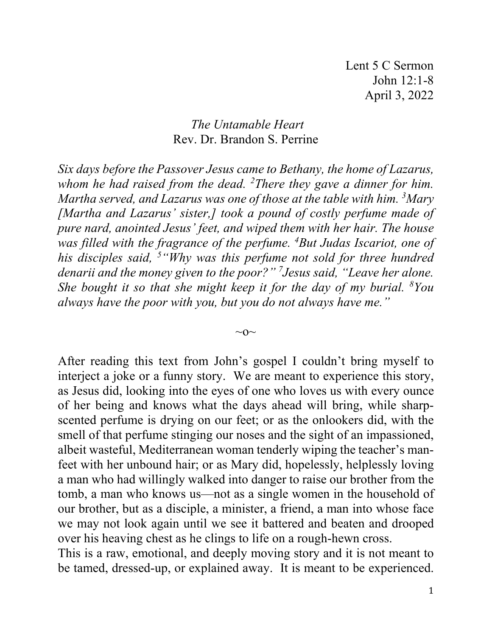## *The Untamable Heart* Rev. Dr. Brandon S. Perrine

*Six days before the Passover Jesus came to Bethany, the home of Lazarus, whom he had raised from the dead. 2 There they gave a dinner for him. Martha served, and Lazarus was one of those at the table with him. 3 Mary [Martha and Lazarus' sister,] took a pound of costly perfume made of pure nard, anointed Jesus' feet, and wiped them with her hair. The house was filled with the fragrance of the perfume. 4 But Judas Iscariot, one of his disciples said, 5 "Why was this perfume not sold for three hundred denarii and the money given to the poor?" 7 Jesus said, "Leave her alone.*  She bought it so that she might keep it for the day of my burial. <sup>8</sup>You *always have the poor with you, but you do not always have me."*

 $\sim$ O $\sim$ 

After reading this text from John's gospel I couldn't bring myself to interject a joke or a funny story. We are meant to experience this story, as Jesus did, looking into the eyes of one who loves us with every ounce of her being and knows what the days ahead will bring, while sharpscented perfume is drying on our feet; or as the onlookers did, with the smell of that perfume stinging our noses and the sight of an impassioned, albeit wasteful, Mediterranean woman tenderly wiping the teacher's manfeet with her unbound hair; or as Mary did, hopelessly, helplessly loving a man who had willingly walked into danger to raise our brother from the tomb, a man who knows us—not as a single women in the household of our brother, but as a disciple, a minister, a friend, a man into whose face we may not look again until we see it battered and beaten and drooped over his heaving chest as he clings to life on a rough-hewn cross.

This is a raw, emotional, and deeply moving story and it is not meant to be tamed, dressed-up, or explained away. It is meant to be experienced.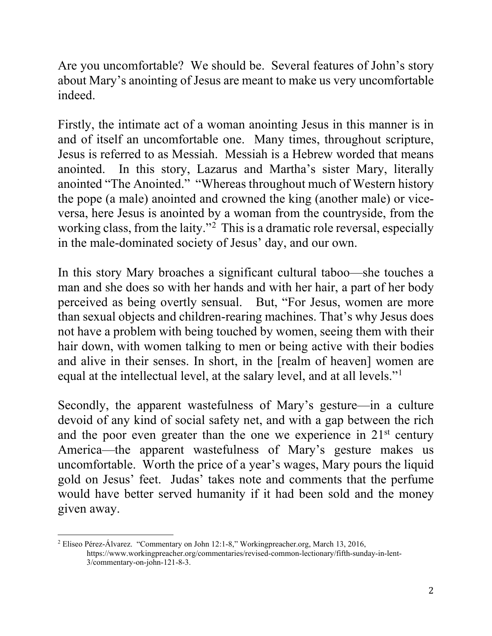Are you uncomfortable? We should be. Several features of John's story about Mary's anointing of Jesus are meant to make us very uncomfortable indeed.

Firstly, the intimate act of a woman anointing Jesus in this manner is in and of itself an uncomfortable one. Many times, throughout scripture, Jesus is referred to as Messiah. Messiah is a Hebrew worded that means anointed. In this story, Lazarus and Martha's sister Mary, literally anointed "The Anointed." "Whereas throughout much of Western history the pope (a male) anointed and crowned the king (another male) or viceversa, here Jesus is anointed by a woman from the countryside, from the working class, from the laity."<sup>[2](#page-1-0)</sup> This is a dramatic role reversal, especially in the male-dominated society of Jesus' day, and our own.

In this story Mary broaches a significant cultural taboo—she touches a man and she does so with her hands and with her hair, a part of her body perceived as being overtly sensual. But, "For Jesus, women are more than sexual objects and children-rearing machines. That's why Jesus does not have a problem with being touched by women, seeing them with their hair down, with women talking to men or being active with their bodies and alive in their senses. In short, in the [realm of heaven] women are equal at the intellectual level, at the salary level, and at all levels."<sup>[1](#page-1-1)</sup>

Secondly, the apparent wastefulness of Mary's gesture—in a culture devoid of any kind of social safety net, and with a gap between the rich and the poor even greater than the one we experience in  $21<sup>st</sup>$  century America—the apparent wastefulness of Mary's gesture makes us uncomfortable. Worth the price of a year's wages, Mary pours the liquid gold on Jesus' feet. Judas' takes note and comments that the perfume would have better served humanity if it had been sold and the money given away.

<span id="page-1-1"></span><span id="page-1-0"></span><sup>2</sup> [Eliseo Pérez-Álvarez.](http://www.workingpreacher.org/profile/default.aspx?uid=2-perez-alvarez_eliseo) "Commentary on John 12:1-8," Workingpreacher.org, March 13, 2016, <https://www.workingpreacher.org/commentaries/revised-common-lectionary/fifth-sunday-in-lent->3/commentary-on-john-121-8-3.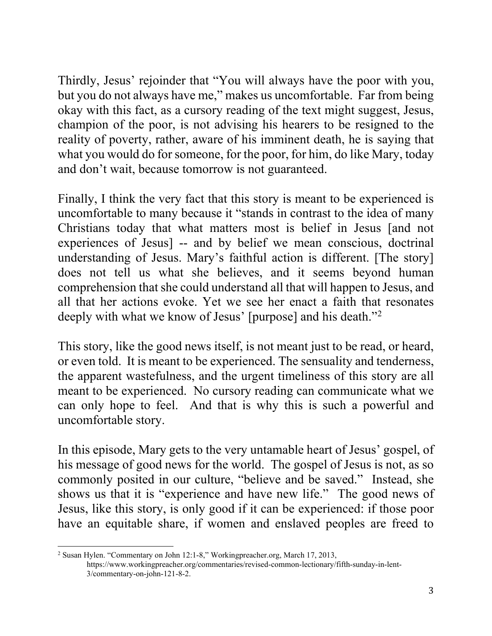Thirdly, Jesus' rejoinder that "You will always have the poor with you, but you do not always have me," makes us uncomfortable. Far from being okay with this fact, as a cursory reading of the text might suggest, Jesus, champion of the poor, is not advising his hearers to be resigned to the reality of poverty, rather, aware of his imminent death, he is saying that what you would do for someone, for the poor, for him, do like Mary, today and don't wait, because tomorrow is not guaranteed.

Finally, I think the very fact that this story is meant to be experienced is uncomfortable to many because it "stands in contrast to the idea of many Christians today that what matters most is belief in Jesus [and not experiences of Jesus] -- and by belief we mean conscious, doctrinal understanding of Jesus. Mary's faithful action is different. [The story] does not tell us what she believes, and it seems beyond human comprehension that she could understand all that will happen to Jesus, and all that her actions evoke. Yet we see her enact a faith that resonates deeply with what we know of Jesus' [purpose] and his death."[2](#page-2-0)

This story, like the good news itself, is not meant just to be read, or heard, or even told. It is meant to be experienced. The sensuality and tenderness, the apparent wastefulness, and the urgent timeliness of this story are all meant to be experienced. No cursory reading can communicate what we can only hope to feel. And that is why this is such a powerful and uncomfortable story.

In this episode, Mary gets to the very untamable heart of Jesus' gospel, of his message of good news for the world. The gospel of Jesus is not, as so commonly posited in our culture, "believe and be saved." Instead, she shows us that it is "experience and have new life." The good news of Jesus, like this story, is only good if it can be experienced: if those poor have an equitable share, if women and enslaved peoples are freed to

<span id="page-2-0"></span><sup>2</sup> Susan Hylen. "Commentary on John 12:1-8," Workingpreacher.org, March 17, 2013, <https://www.workingpreacher.org/commentaries/revised-common-lectionary/fifth-sunday-in-lent->3/commentary-on-john-121-8-2.